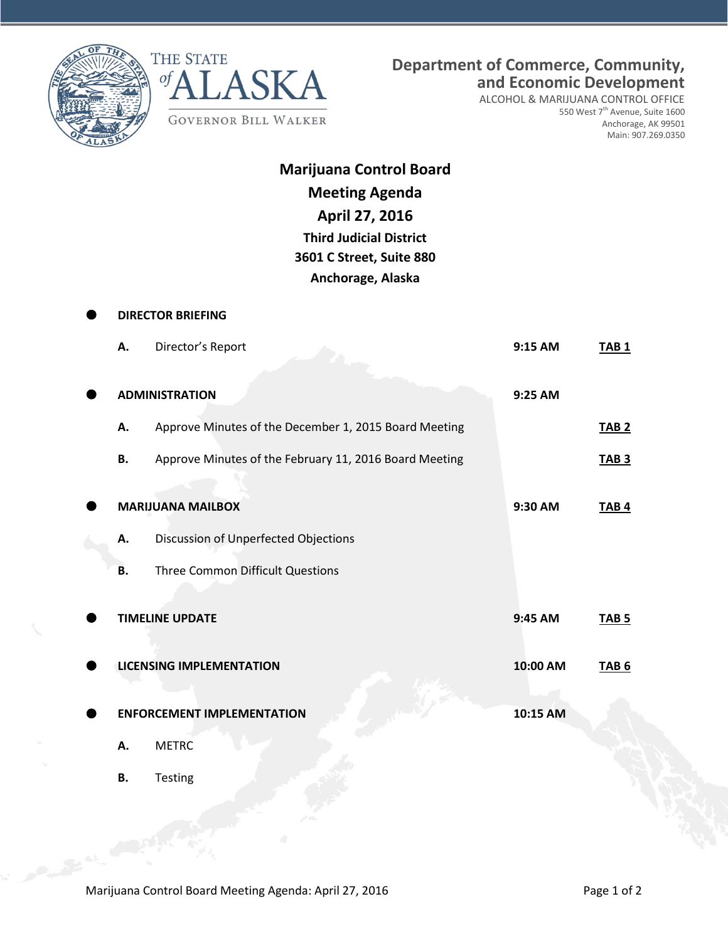



ALCOHOL & MARIJUANA CONTROL OFFICE 550 West 7<sup>th</sup> Avenue, Suite 1600 Anchorage, AK 99501 Main: 907.269.0350

| <b>Marijuana Control Board</b> |
|--------------------------------|
| <b>Meeting Agenda</b>          |
| April 27, 2016                 |
| <b>Third Judicial District</b> |
| 3601 C Street, Suite 880       |
| Anchorage, Alaska              |

| <b>DIRECTOR BRIEFING</b> |                                                        |          |                  |  |
|--------------------------|--------------------------------------------------------|----------|------------------|--|
| Α.                       | Director's Report                                      | 9:15 AM  | TAB <sub>1</sub> |  |
|                          | <b>ADMINISTRATION</b>                                  | 9:25 AM  |                  |  |
| А.                       | Approve Minutes of the December 1, 2015 Board Meeting  |          | <b>TAB 2</b>     |  |
| В.                       | Approve Minutes of the February 11, 2016 Board Meeting |          | <b>TAB 3</b>     |  |
|                          | <b>MARIJUANA MAILBOX</b>                               | 9:30 AM  | TAB <sub>4</sub> |  |
| А.                       | Discussion of Unperfected Objections                   |          |                  |  |
| В.                       | Three Common Difficult Questions                       |          |                  |  |
|                          | <b>TIMELINE UPDATE</b>                                 | 9:45 AM  | <b>TAB 5</b>     |  |
|                          | <b>LICENSING IMPLEMENTATION</b>                        | 10:00 AM | TAB <sub>6</sub> |  |
|                          | <b>ENFORCEMENT IMPLEMENTATION</b>                      | 10:15 AM |                  |  |
| Α.                       | <b>METRC</b>                                           |          |                  |  |
| <b>B.</b>                | Testing                                                |          |                  |  |